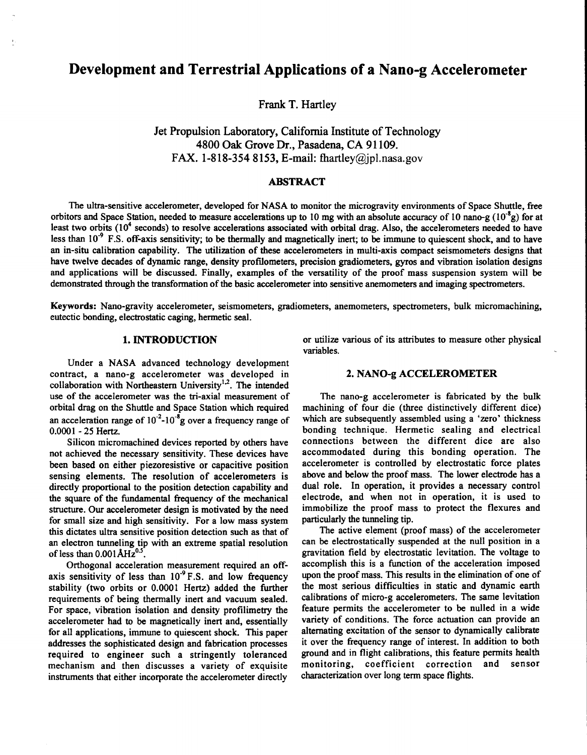# **Development and Terrestrial Applications of a Nano-g Accelerometer**

**Frank T.** Hartley

Jet Propulsion Laboratory, California Institute **of** Technology **4800** Oak Grove **Dr.,** Pasadena, CA **9 1 109.**  FAX. **1-818-354 8153,** E-mail: [fhartley@jpl.nasa.gov](mailto:fhartley@jpl.nasa.gov) 

# **ABSTRACT**

The ultra-sensitive accelerometer, developed for NASA to monitor the microgravity environments of Space Shuttle, free **orbitors and Space Station, needed** to **measure accelerations up to 10 mg with an absolute accuracy of 10 nano-g (lO-'g) for at**  least two orbits (10<sup>4</sup> seconds) to resolve accelerations associated with orbital drag. Also, the accelerometers needed to have less than 10<sup>-9</sup> F.S. off-axis sensitivity; to be thermally and magnetically inert; to be immune to quiescent shock, and to have **an in-situ calibration capability. The utilization of these accelerometers** in **multi-axis compact seismometers designs that have twelve decades of dynamic range, density profdometers, precision gradiometers,** *gyros* **and vibration isolation designs and applications will** be **discussed. Finally, examples of the versatility of the proof mass suspension system will be demonstrated** through **the transformation of the basic accelerometer into sensitive anemometers and imaging spectrometers.** 

**Keywords: Nano-gravity accelerometer, seismometers, gradiometers, anemometers, spectrometers, bulk micromachining, eutectic bonding, electrostatic caging, hermetic seal.** 

# **1. INTRODUCTION**

**Under a NASA advanced technology development**  contract, a nano-g accelerometer was developed in **collaboration with Northeastern University'2. The intended use of the accelerometer was the tri-axial measurement of orbital drag on the Shuttle and Space Station which required**  an acceleration range of  $10^{-2}$ - $10^{-8}$ g over a frequency range of 0.0001 - **25 Hertz.** 

**Silicon micromachined devices reported by others have not achieved the necessary sensitivity. These devices have been based on either piezoresistive or capacitive position sensing elements. The resolution of accelerometers is directly proportional to the position detection capability and the square of the fundamental frequency of the mechanical structure. Our accelerometer design is motivated by the need for small size and high sensitivity. For a low mass system this dictates ultra sensitive position detection such as that of an electron tunneling tip with an extreme spatial resolution of less** than **0.001** *AHzO.'.* 

**Orthogonal acceleration measurement required an off**axis sensitivity of less than 10<sup>-9</sup> F.S. and low frequency **stability (two orbits** or **0.0001 Hertz) added the further requirements of being thermally inert and vacuum sealed. For space, vibration isolation and density profilimetry the accelerometer had** to be **magnetically inert and, essentially for all applications, immune to quiescent shock.** This **paper addresses the sophisticated design and fabrication processes required to engineer such a stringently toleranced mechanism and then discusses a variety of exquisite instruments that either incorporate the accelerometer directly** 

**or utilize various of its attributes to measure other physical variables.** 

### **2. NANO-g ACCELEROMETER**

**The nano-g accelerometer is fabricated by the bulk machining of four die (three distinctively different dice) which are subsequently assembled using a 'zero' thickness bonding technique. Hermetic sealing and electrical connections between the different dice are also accommodated during this bonding operation. The accelerometer is controlled by electrostatic force plates above and below the proof mass. The lower electrode has a dual role. In operation, it provides a necessary control electrode, and when not in operation, it is used to immobilize the proof mass to protect the flexures and particularly the tunneling tip.** 

**The active element (proof mass) of the accelerometer can** be **electrostatically suspended at the null position in a gravitation field by electrostatic levitation. The voltage to accomplish this is a function of the acceleration imposed upon the proof mass. This results in the elimination of one of the most serious difficulties in static and dynamic earth calibrations of micro-g accelerometers. The same levitation feature permits the accelerometer to be nulled in a wide variety of conditions. The force actuation can provide** an **alternating excitation of the sensor to dynamically calibrate it over the frequency range of interest.** In **addition to both ground and in flight calibrations,** this **feature permits health monitoring, coefficient correction and sensor characterization over long term space flights.**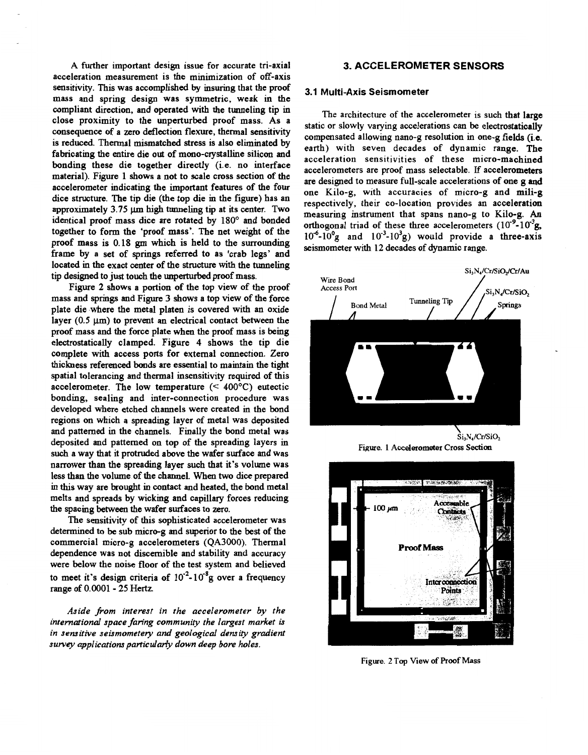**A further important design issue for accurate tri-axial acceleration measurement is the minimization of off-axis sensitivity. This was accomplished by insuring that the proof mass and spring design was ymmetric, weak in the compliant direction, and operated with the tunneling tip in close proximity to the unperturbed proof mass. As a consequence of a zero deflection flexure, thermal sensitivity is reduced. Thermal mismatched stress is also eliminated by fabricating the entire die out of mono-crystalline silicon and bonding these die together directly (i.e. no interface material). Figure 1 shows a not to scale cross section of the accelerometer indicating the important features of the four dice structure. The tip die (the top die in the figure) has an**  approximately 3.75 um high tunneling tip at its center. Two **identical proof mass dice are rotated by 180° and bonded together to form the 'proof mass'. The net weight of the proof mass is 0.18** *gm* **which is held to the surrounding frame by a set of springs referred to as 'crab legs' and located in the exact center of the structure with the tunneling**  tip designed to just touch the unperturbed proof mass.

**Figure 2 shows a portion of the top view of the proof mass and springs and Figure 3 shows a top view of the force**  plate die where the metal platen is covered with an oxide layer (0.5  $\mu$ m) to prevent an electrical contact between the **proof mass and the force plate when the proof mass is being electrostatically clamped. Fig[ure 4](#page-2-0) shows the tip die complete with access ports for external connection. Zero thickness referenced bonds are essential to maintain the tight spatial tolerancing and thermal insensitivity required of this**  accelerometer. The low temperature  $(< 400^{\circ}C$ ) eutectic **bonding, sealing and inter-connection procedure was developed where etched channels were created in the bond regions on which a spreading layer of metal was deposited and patterned in the channels. Finally the bond metal was deposited and patterned on top of the spreading layers in such a way that it protruded above the wafer surface and was narrower than the spreading layer such that it's volume was less than. the volume of the channel. When two** dice **prepared in** this **way are brought in contact and heated, the bond metal melts and spreads by wicking and capillary forces reducing**  the spacing between the wafer surfaces to zero.

**The sensitivity of this sophisticated accelerometer was determined to be sub micro-g and superior to the best of the commercial micro-g accelerometers (QA3000). Thermal dependence was not discernible and stability and accuracy were below the noise floor of the test system and believed**  to meet it's design criteria of  $10^{-2}$ - $10^{-8}$ g over a frequency **range of 0.0001** - **25** Hertz.

*Aside J;om interest in the accelerometer by the international space faring community the largest market is in sensitive seismometey and geological density gradient*  survey applications particularly down deep bore holes.

# **3. ACCELEROMETER SENSORS**

### **3.1 Multi-Axis Seismometer**

**The architecture of the accelerometer is such that large static or slowly varying accelerations can be electrostatically compensated allowing nano-g resolution in one-g fields (ie. earth) with seven decades of dynamic range. The acceleration sensitivities of these micro-machined accelerometers are proof mass selectable.** If **accelerometers are designed to measure full-scale accelerations of one g and one Kilo-g, with accuracies of micro-g and mili-g respectively, their co-location provides an acceleration measuring instrument that spans nano-g to Kilo-g. An**  orthogonal triad of these three accelerometers (10<sup>-9</sup>-10<sup>-3</sup>g  $10^6$ - $10^9$ g and  $10^{-3}$ - $10^3$ g) would provide a three-axis **seismometer with 12 decades of dynamic range.** 



Figure. **1 Accelerometer Cross Section** 



Figure. **2** Top **View of Proof Mass**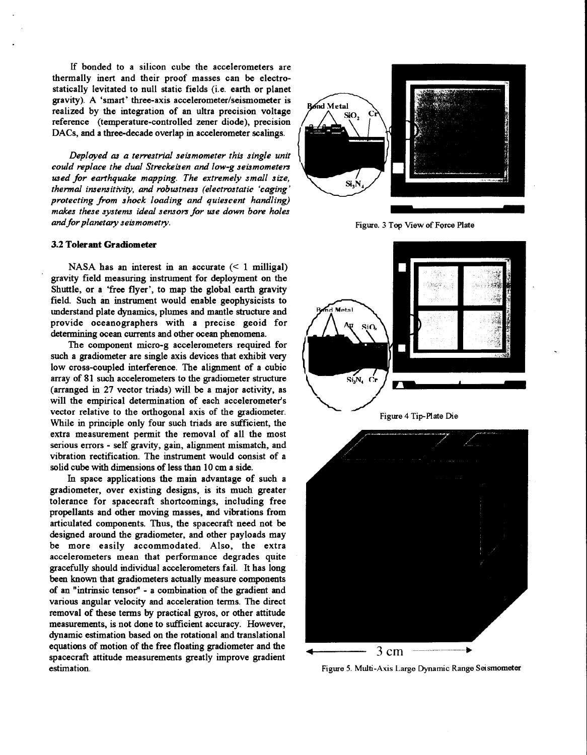<span id="page-2-0"></span>If **bonded to a silicon cube the accelerometers are thermally inert and their proof masses can** be **electrostatically levitated to null static fields (i.e. earth or planet gravity). A 'smart' three-axis accelerometer/seismometer is realized by the integration of an ultra precision voltage reference (temperature-controlled zener diode), precision DACs, and a three-decade overlap in accelerometer scalings.** 

*Deployed ap a terrestrial seismometer this single unit could replace the dual Streckefen and low-g seismometers used for earthquake mapping. The extremely small size, thermal insensitivity, and robustness (electrostatic 'caging*  protecting from shock loading and quiescent handling) *makes these systems ideal sensors for use down bore holes and for planetary seismometry.* 

### **3.2 Tolerant Gradiometer**

**NASA has an interest** in **an accurate** (< **1 milligal) gravity field measuring instrument for deployment on the Shuttle, or a 'free flyer', to map the global earth gravity field. Such an instrument would enable geophysicists to understand plate dynamics, plumes and mantle structure and provide oceanographers with a precise geoid for**  determining ocean currents and other ocean phenomena.

**The component micro-g accelerometers required for such a gradiometer are single axis devices that exhibit very low cross-coupled interference. The alignment of a cubic array of 81 such accelerometers to the gradiometer structure (arranged in 27 vector triads) will** be **a major activity, as will the empirical determination of each accelerometer's vector relative to the orthogonal axis of the gradiometer. While** in **principle only four such triads are sufficient, the extra measurement permit the removal of all the most serious errors** - **self gravity, gain, alignment mismatch, and vibration rectification. The instrument would consist of a**  solid cube with dimensions of less than 10 cm a side.

In **space applications the main advantage of such a gradiometer, over existing designs, is its much greater tolerance for spacecraft shortcomings, including free propellants and other moving masses, and vibrations from articulated components. Thus, the spacecraft need** not be **designed around the gradiometer, and other payloads may be more easily accommodated. Also, the extra accelerometers mean that performance degrades quite gracefully should individual accelerometers fail. It has long been known that gradiometers actually measure components of an "intrinsic tensor"** - **a combination of the gradient and various angular velocity and acceleration terms. The direct removal of these terms by practical gyros, or other attitude**  measurements, is not done to sufficient accuracy. However, **dynamic estimation based on the rotational and translational equations of motion of the free floating gradiometer and the spacecraft attitude measurements greatly improve gradient estimation.** 



Figure. 3 Top View of Force Plate



[Figure](#page-4-0) 5. Multi-Axis Large Dynamic Range Seismometer

**4** 3 cm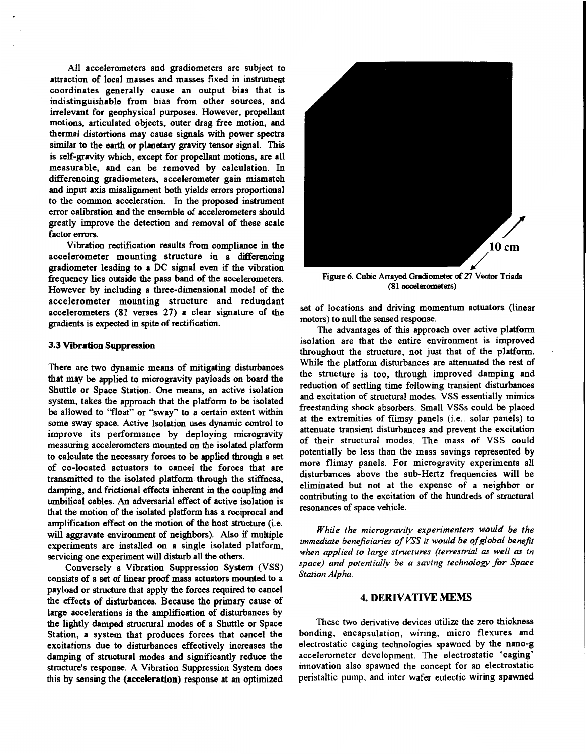<span id="page-3-0"></span>**All accelerometers and gradiometers are subject to attraction of local masses and masses fixed in instrument coordinates generally cause an output bias that is indistinguishable from bias from other sources, and irrelevant for geophysical purposes. However, propellant motions, articulated objects, outer drag free motion, and thermal distortions may cause signals with power spectra similar to the earth or planetary gravity tensor signal. This is self-gravity which, except for propellant motions, are all measurable, and can be removed by calculation.** In **differencing gradiometers, accelerometer gain mismatch and input axis misalignment both yields errors proportional to the common acceleration.** In **the proposed instrument error calibration and the ensemble of accelerometers should greatly improve the detection and removal of these scale factor errors.** 

**Vibration rectification results from compliance in the**  accelerometer mounting structure in a differencing **gradiometer leading to a DC signal even if the vibration frequency lies outside the pass band of the accelerometers. However by including a three-dimensional model of the accelerometer mounting structure and redundant accelerometers (81 verses 27) a clear signature of the gradients is expected in spite of rectification.** 

### **3.3 Vibration Suppression**

**There are two dynamic means of mitigating disturbances that may** be **applied to microgravity payloads on board the Shuttle or Space Station. One means, an active isolation system, takes the approach that the platform to** be **isolated**  be **allowed to "float" or %way" to a certain extent within**  some sway space. Active Isolation uses dynamic control to **improve its performance by deploying microgravity measuring accelerometers mounted on the isolated platform to calculate the necessary forces to** be **applied through a set of co-located actuators to cancel the forces that are**  transmitted to the isolated platform through the stiffness, **damping, and frictional effects inherent in the coupling and umbilical cables. An adversarial effect of active isolation is that the motion of the isolated platform has a reciprocal and amplification effect on the motion of the host structure (i.e. will aggravate environment of neighbors).** *Also* if **multiple experiments are installed on a single isolated platform, servicing one experiment will disturb all the others.** 

**Conversely a Vibration Suppression System (VSS) consists of a** *set* **of linear proof mass actuators mounted to a payload or structure that apply the forces required to cancel the effects of disturbances. Because the primary cause of large accelerations is the amplification of disturbances by the lightly damped structural modes of a Shuttle or Space Station, a system that produces forces that cancel the excitations due to disturbances effectively increases the damping of structural modes and significantly reduce the structure's response. A Vibration Suppression System does this by sensing the (acceleration) response at an optimized** 



Figure 6. Cubic Arrayed Gradiometer of 27 Vector Triads **(81 accelerom&ers)** 

**set of locations and driving momentum actuators (linear motors) to null the sensed response.** 

**The advantages of this approach over active platform isolation are that he entire environment is improved throughout the structure, not just that of the platform. While the platform disturbances are attenuated the rest of the structure is too, through improved damping and reduction of settling time following transient disturbances and excitation of structural modes, VSS essentially mimics freestanding shock absorbers. Small VSSs could** be **placed at the extremities of flimsy panels (i.e.. solar panels) to attenuate transient disturbances and prevent the excitation of their structural modes. The mass of VSS could potentially be less than the mass savings represented by more flimsy panels. For microgravity experiments all disturbances above the sub-Hertz frequencies will be eliminated but not at the expense of a neighbor or contributing to the excitation of the hundreds of structural resonances of space vehicle.** 

*While the microgravity experimenters would be the immediate beneficiaries of VSS it would be of global benefit* when applied to large structures (terrestrial as well as in *space) and potentiallv be a saving technology for Space Station Alpha.* 

# **4. DERIVATIVE MEMS**

**These two derivative devices utilize the zero thickness bonding, encapsulation, wiring, micro flexures and electrostatic caging technologies spawned by the nano-g accelerometer development. The electrostatic 'caging' innovation also spawned the concept for an electrostatic peristaltic pump, and inter wafer eutectic wiring spawned**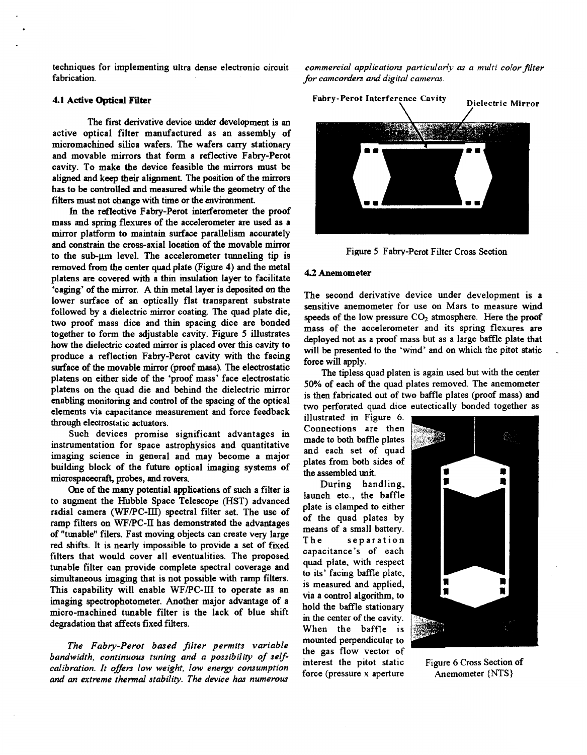**The first derivative device under development is an active optical filter manufactured as an assembly of micromachined silica wafers. The wafers carry stationary and movable mirrors that form a reflective Fabry-Perot**  cavity. To make the device feasible the mirrors must be **aligned and keep their alignment. The position of the mirrors has to be controlled and measured while the geometry of the filters must not change with time** *or* **the environment.** 

In **the reflective Fabry-Perot interferometer the proof mass and spring flexures of the accelerometer are used as a mirror ulatform to maintain surface parallelism accurately and constrain the cross-axial location of the movable mirror to the sub-pm level. The accelerometer tunneling tip is removed from the center quad plate (Figure 4) and the metal 4.2 Anemometer platens are covered with a thin insulation layer to facilitate 'caging' of the mirror. A thin metal layer is deposited** *on* **the lower surface of an optically flat transparent substrate followed by a dielectric mirror coating. The quad plate die, two proof mass dice and thin spacing dice are bonded together to form the adjustable cavity. Figure 5 illustrates how the dielectric coated mirror is placed over this cavity to produce a reflection Fabry-Perot cavity with the facing surface of the movable mirror (proof mass). The electrostatic platens on either side of the 'proof mass' face electrostatic platens on the quad die and behind the dielectric mirror enabling monitoring and control of the spacing of the optical elements via capacitance measurement and force feedback through electrostatic actuators.** 

**Such devices promise significant advantages in instrumentation for space astrophysics and quantitative imaging science in general and may become a major building block of the future optical imaging systems of microspacecraft, probes, and rovers.** 

**One of the many potential applications of such a filter is to augment the Hubble Space Telescope (HST) advanced radial camera** (WFPC-m) **spectral filter set. The use of ramp filters on** WFPC-IT **has demonstrated the advantages**  of "tunable" filers. Fast moving objects can create very large **red shifts. It is nearly impossible to provide a set of fixed filters that would cover all eventualities. The proposed tunable filter can provide complete spectral coverage and simultaneous imaging that is not possible with ramp filters. This capability will enable** WFPC-III **to operate as an imaging spectrophotometer. Another major advantage of a micro-machined tunable filter is the lack of blue shift degradation that affects fixed filters.** 

*The Fabry-Perot based filter permits variable*  bandwidth, continuous tuning and a possibility of self*calibration. It oflers low weight, low energy consumption and an extreme thermal stabiliw. The device has numerous* 

<span id="page-4-0"></span>**techniques for implementing ultra dense electronic circuit** *commercial applications particularly as a multi color filter* fabrication. **fabrication.** *for camcorders and digital camera.* 



**Figure 5 Fabry-Perot Filter Cross Section** 

**The second derivative device under development is a sensitive anemometer for use on Mars to measure wind**  speeds of the low pressure CO<sub>2</sub> atmosphere. Here the proof **mass of the accelerometer and its spring flexures are deployed not as a proof mass but as a large baffle plate that will be presented to the 'wind' and on which the pitot static** . **force will apply.** 

**The tipless quad platen is again used but with the center 50% of each of the quad plates removed. The anemometer is then fabricated out of two baffle plates (proof mass) and two perforated quad dice eutectically bonded together as** 

Connections are then made to both baffle plates and each set of quad plates from both sides of the assembled unit.

During handling, launch etc., the baffle plate is clamped to either of the quad plates by means of a small battery. separation The capacitance's of each quad plate, with respect to its' facing baffle plate, is measured and applied, via a control algorithm, to hold the baffle stationary in the center of the cavity. When the baffle is mounted perpendicular to the gas flow vector of **interest the pitot static Figure** *[6](#page-3-0)* **Cross Section of force (pressure x aperture Anemometer {NTS}**